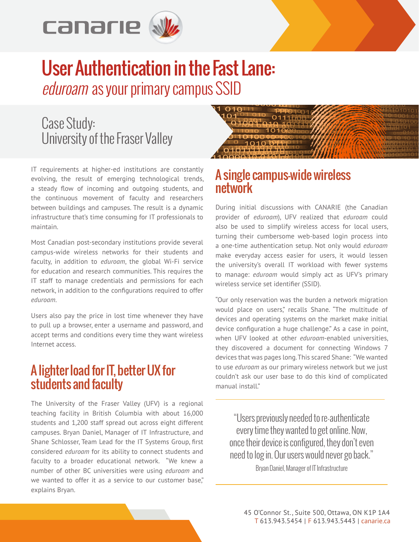

# User Authentication in the Fast Lane: eduroam as your primary campus SSID

# Case Study: University of the Fraser Valley

IT requirements at higher-ed institutions are constantly evolving, the result of emerging technological trends, a steady flow of incoming and outgoing students, and the continuous movement of faculty and researchers between buildings and campuses. The result is a dynamic infrastructure that's time consuming for IT professionals to maintain.

Most Canadian post-secondary institutions provide several campus-wide wireless networks for their students and faculty, in addition to *eduroam*, the global Wi-Fi service for education and research communities. This requires the IT staff to manage credentials and permissions for each network, in addition to the configurations required to offer *eduroam*.

Users also pay the price in lost time whenever they have to pull up a browser, enter a username and password, and accept terms and conditions every time they want wireless Internet access.

## A lighter load for IT, better UX for students and faculty

The University of the Fraser Valley (UFV) is a regional teaching facility in British Columbia with about 16,000 students and 1,200 staff spread out across eight different campuses. Bryan Daniel, Manager of IT Infrastructure, and Shane Schlosser, Team Lead for the IT Systems Group, first considered *eduroam* for its ability to connect students and faculty to a broader educational network. "We knew a number of other BC universities were using *eduroam* and we wanted to offer it as a service to our customer base." explains Bryan.



#### A single campus-wide wireless network

During initial discussions with CANARIE (the Canadian provider of *eduroam*), UFV realized that *eduroam* could also be used to simplify wireless access for local users, turning their cumbersome web-based login process into a one-time authentication setup. Not only would *eduroam* make everyday access easier for users, it would lessen the university's overall IT workload with fewer systems to manage: *eduroam* would simply act as UFV's primary wireless service set identifier (SSID).

"Our only reservation was the burden a network migration would place on users," recalls Shane. "The multitude of devices and operating systems on the market make initial device configuration a huge challenge." As a case in point, when UFV looked at other *eduroam*-enabled universities, they discovered a document for connecting Windows 7 devices that was pages long. This scared Shane: "We wanted to use *eduroam* as our primary wireless network but we just couldn't ask our user base to do this kind of complicated manual install."

"Users previously needed to re-authenticate every time they wanted to get online. Now, once their device is configured, they don't even need to log in. Our users would never go back."

Bryan Daniel, Manager of IT Infrastructure